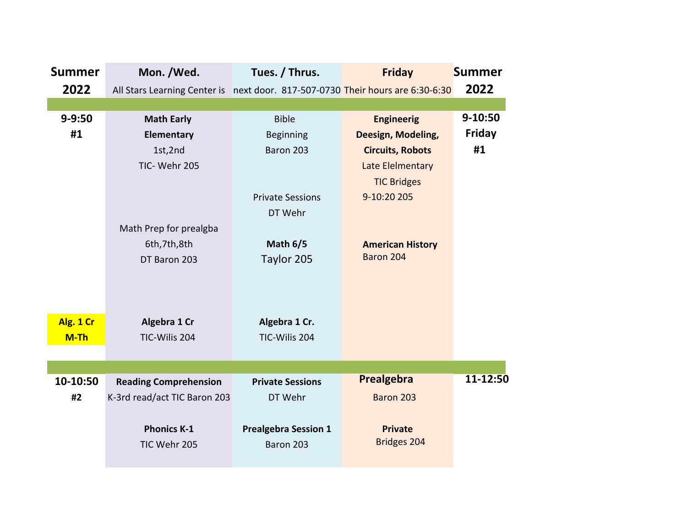| <b>Summer</b> | Mon. /Wed.                                                                     | Tues. / Thrus.              | <b>Friday</b>           | <b>Summer</b> |
|---------------|--------------------------------------------------------------------------------|-----------------------------|-------------------------|---------------|
| 2022          | All Stars Learning Center is next door. 817-507-0730 Their hours are 6:30-6:30 |                             |                         | 2022          |
|               |                                                                                |                             |                         |               |
| $9 - 9:50$    | <b>Math Early</b>                                                              | <b>Bible</b>                | <b>Engineerig</b>       | 9-10:50       |
| #1            | <b>Elementary</b>                                                              | <b>Beginning</b>            | Deesign, Modeling,      | Friday        |
|               | 1st,2nd                                                                        | Baron 203                   | <b>Circuits, Robots</b> | #1            |
|               | TIC-Wehr 205                                                                   |                             | Late Elelmentary        |               |
|               |                                                                                |                             | <b>TIC Bridges</b>      |               |
|               |                                                                                | <b>Private Sessions</b>     | 9-10:20 205             |               |
|               |                                                                                | DT Wehr                     |                         |               |
|               | Math Prep for prealgba                                                         |                             |                         |               |
|               | 6th, 7th, 8th                                                                  | Math $6/5$                  | <b>American History</b> |               |
|               | DT Baron 203                                                                   | Taylor 205                  | Baron 204               |               |
|               |                                                                                |                             |                         |               |
|               |                                                                                |                             |                         |               |
|               |                                                                                |                             |                         |               |
| Alg. 1 Cr     | Algebra 1 Cr                                                                   | Algebra 1 Cr.               |                         |               |
| M-Th          | TIC-Wilis 204                                                                  | TIC-Wilis 204               |                         |               |
|               |                                                                                |                             |                         |               |
|               |                                                                                |                             |                         |               |
| 10-10:50      | <b>Reading Comprehension</b>                                                   | <b>Private Sessions</b>     | Prealgebra              | 11-12:50      |
| #2            | K-3rd read/act TIC Baron 203                                                   | DT Wehr                     | Baron 203               |               |
|               |                                                                                |                             |                         |               |
|               | <b>Phonics K-1</b>                                                             | <b>Prealgebra Session 1</b> | <b>Private</b>          |               |
|               | TIC Wehr 205                                                                   | Baron 203                   | Bridges 204             |               |
|               |                                                                                |                             |                         |               |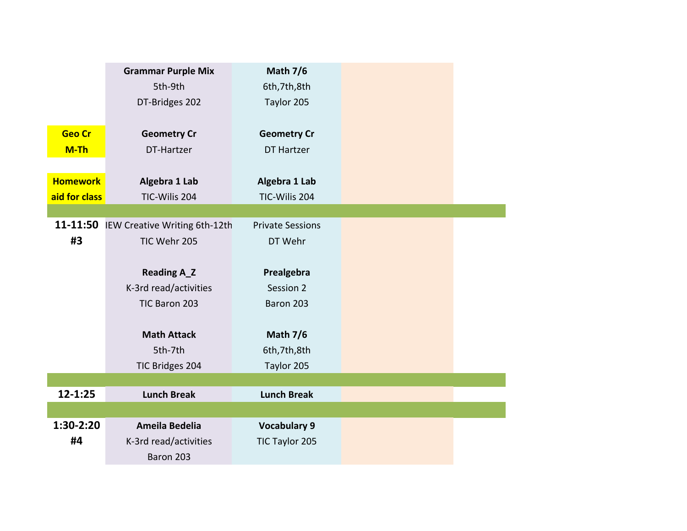|                 | <b>Grammar Purple Mix</b>     | <b>Math 7/6</b>         |
|-----------------|-------------------------------|-------------------------|
|                 | 5th-9th                       | 6th, 7th, 8th           |
|                 | DT-Bridges 202                | Taylor 205              |
|                 |                               |                         |
| <b>Geo Cr</b>   | <b>Geometry Cr</b>            | <b>Geometry Cr</b>      |
| M-Th            | DT-Hartzer                    | <b>DT Hartzer</b>       |
|                 |                               |                         |
| <b>Homework</b> | Algebra 1 Lab                 | Algebra 1 Lab           |
| aid for class   | TIC-Wilis 204                 | TIC-Wilis 204           |
|                 |                               |                         |
| 11-11:50        | IEW Creative Writing 6th-12th | <b>Private Sessions</b> |
| #3              | TIC Wehr 205                  | DT Wehr                 |
|                 |                               |                         |
|                 | <b>Reading A_Z</b>            | Prealgebra              |
|                 | K-3rd read/activities         | Session 2               |
|                 | TIC Baron 203                 | Baron 203               |
|                 |                               |                         |
|                 | <b>Math Attack</b>            | <b>Math 7/6</b>         |
|                 | 5th-7th                       | 6th, 7th, 8th           |
|                 | TIC Bridges 204               | Taylor 205              |
|                 |                               |                         |
| 12-1:25         | <b>Lunch Break</b>            | <b>Lunch Break</b>      |
|                 |                               |                         |
| 1:30-2:20       | <b>Ameila Bedelia</b>         | <b>Vocabulary 9</b>     |
| #4              | K-3rd read/activities         | TIC Taylor 205          |
|                 | Baron 203                     |                         |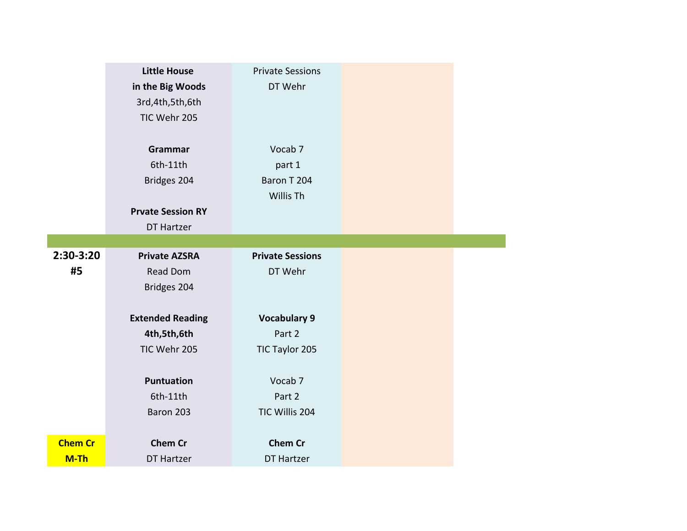|                | <b>Little House</b><br>in the Big Woods<br>3rd, 4th, 5th, 6th<br>TIC Wehr 205 | <b>Private Sessions</b><br>DT Wehr                       |
|----------------|-------------------------------------------------------------------------------|----------------------------------------------------------|
|                | Grammar<br>6th-11th<br>Bridges 204<br><b>Prvate Session RY</b><br>DT Hartzer  | Vocab <sub>7</sub><br>part 1<br>Baron T 204<br>Willis Th |
| 2:30-3:20      | <b>Private AZSRA</b>                                                          | <b>Private Sessions</b>                                  |
| #5             | <b>Read Dom</b><br>Bridges 204                                                | DT Wehr                                                  |
|                |                                                                               |                                                          |
|                | <b>Extended Reading</b>                                                       | <b>Vocabulary 9</b>                                      |
|                | 4th,5th,6th                                                                   | Part 2                                                   |
|                | TIC Wehr 205                                                                  | TIC Taylor 205                                           |
|                | <b>Puntuation</b>                                                             | Vocab <sub>7</sub>                                       |
|                | 6th-11th                                                                      | Part 2                                                   |
|                | Baron 203                                                                     | TIC Willis 204                                           |
| <b>Chem Cr</b> | <b>Chem Cr</b>                                                                | <b>Chem Cr</b>                                           |